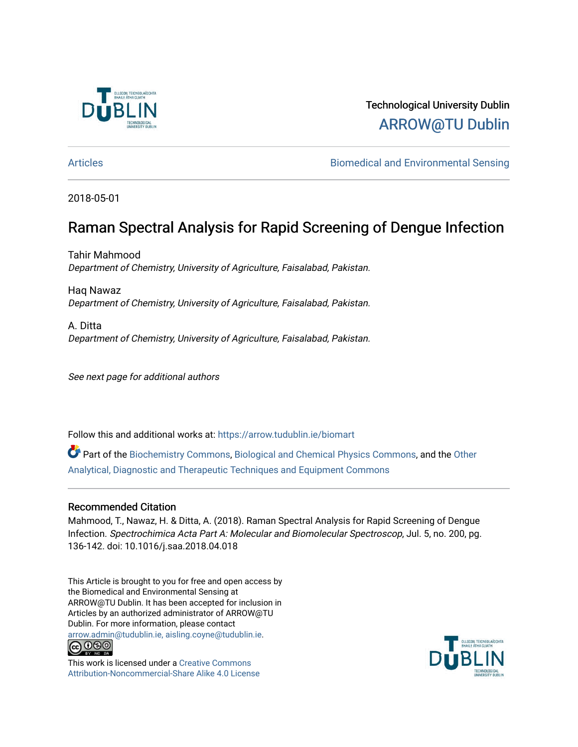

# Technological University Dublin [ARROW@TU Dublin](https://arrow.tudublin.ie/)

[Articles](https://arrow.tudublin.ie/biomart) [Biomedical and Environmental Sensing](https://arrow.tudublin.ie/biom) 

2018-05-01

# Raman Spectral Analysis for Rapid Screening of Dengue Infection

Tahir Mahmood Department of Chemistry, University of Agriculture, Faisalabad, Pakistan.

Haq Nawaz Department of Chemistry, University of Agriculture, Faisalabad, Pakistan.

A. Ditta Department of Chemistry, University of Agriculture, Faisalabad, Pakistan.

See next page for additional authors

Follow this and additional works at: [https://arrow.tudublin.ie/biomart](https://arrow.tudublin.ie/biomart?utm_source=arrow.tudublin.ie%2Fbiomart%2F5&utm_medium=PDF&utm_campaign=PDFCoverPages) 

Part of the [Biochemistry Commons](http://network.bepress.com/hgg/discipline/2?utm_source=arrow.tudublin.ie%2Fbiomart%2F5&utm_medium=PDF&utm_campaign=PDFCoverPages), [Biological and Chemical Physics Commons,](http://network.bepress.com/hgg/discipline/196?utm_source=arrow.tudublin.ie%2Fbiomart%2F5&utm_medium=PDF&utm_campaign=PDFCoverPages) and the [Other](http://network.bepress.com/hgg/discipline/994?utm_source=arrow.tudublin.ie%2Fbiomart%2F5&utm_medium=PDF&utm_campaign=PDFCoverPages) [Analytical, Diagnostic and Therapeutic Techniques and Equipment Commons](http://network.bepress.com/hgg/discipline/994?utm_source=arrow.tudublin.ie%2Fbiomart%2F5&utm_medium=PDF&utm_campaign=PDFCoverPages) 

# Recommended Citation

Mahmood, T., Nawaz, H. & Ditta, A. (2018). Raman Spectral Analysis for Rapid Screening of Dengue Infection. Spectrochimica Acta Part A: Molecular and Biomolecular Spectroscop, Jul. 5, no. 200, pg. 136-142. doi: 10.1016/j.saa.2018.04.018

This Article is brought to you for free and open access by the Biomedical and Environmental Sensing at ARROW@TU Dublin. It has been accepted for inclusion in Articles by an authorized administrator of ARROW@TU Dublin. For more information, please contact [arrow.admin@tudublin.ie, aisling.coyne@tudublin.ie](mailto:arrow.admin@tudublin.ie,%20aisling.coyne@tudublin.ie).



This work is licensed under a [Creative Commons](http://creativecommons.org/licenses/by-nc-sa/4.0/) [Attribution-Noncommercial-Share Alike 4.0 License](http://creativecommons.org/licenses/by-nc-sa/4.0/)

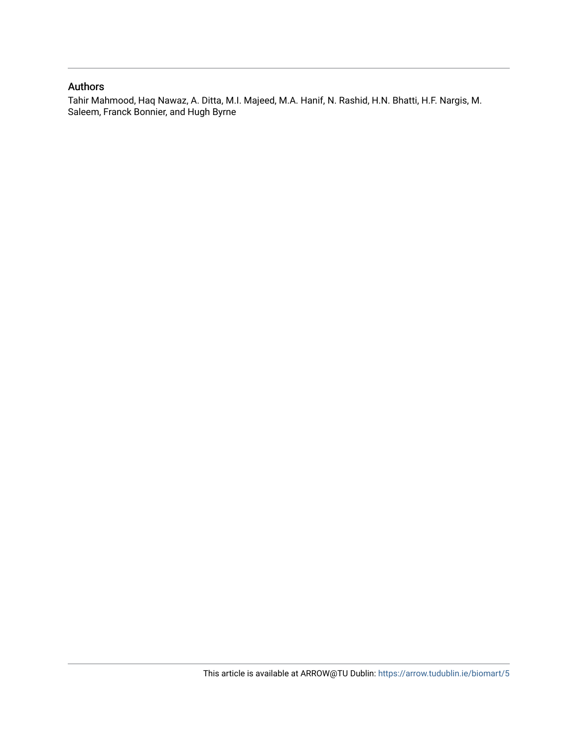#### Authors

Tahir Mahmood, Haq Nawaz, A. Ditta, M.I. Majeed, M.A. Hanif, N. Rashid, H.N. Bhatti, H.F. Nargis, M. Saleem, Franck Bonnier, and Hugh Byrne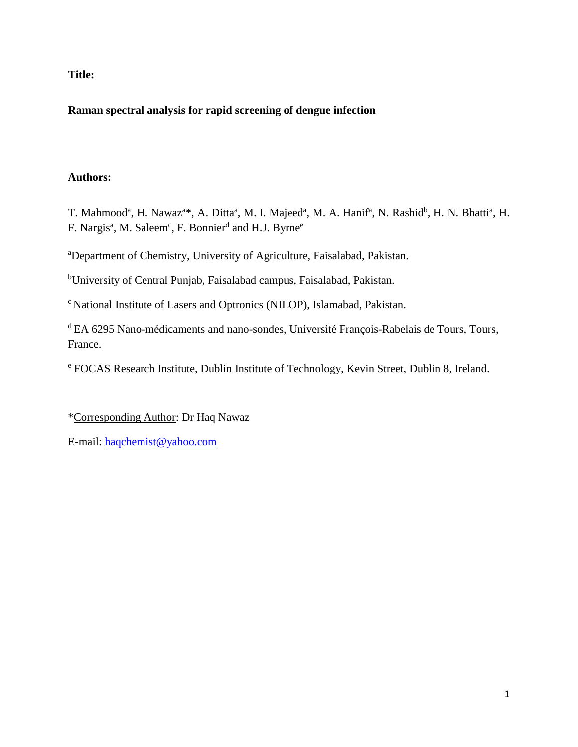**Title:**

# **Raman spectral analysis for rapid screening of dengue infection**

# **Authors:**

T. Mahmood<sup>a</sup>, H. Nawaz<sup>a\*</sup>, A. Ditta<sup>a</sup>, M. I. Majeed<sup>a</sup>, M. A. Hanif<sup>a</sup>, N. Rashid<sup>b</sup>, H. N. Bhatti<sup>a</sup>, H. F. Nargis<sup>a</sup>, M. Saleem<sup>c</sup>, F. Bonnier<sup>d</sup> and H.J. Byrne<sup>e</sup>

<sup>a</sup>Department of Chemistry, University of Agriculture, Faisalabad, Pakistan.

<sup>b</sup>University of Central Punjab, Faisalabad campus, Faisalabad, Pakistan.

<sup>c</sup> National Institute of Lasers and Optronics (NILOP), Islamabad, Pakistan.

<sup>d</sup>EA 6295 Nano-médicaments and nano-sondes, Université François-Rabelais de Tours, Tours, France.

<sup>e</sup> FOCAS Research Institute, Dublin Institute of Technology, Kevin Street, Dublin 8, Ireland.

\*Corresponding Author: Dr Haq Nawaz

E-mail: [haqchemist@yahoo.com](mailto:haqchemist@yahoo.com)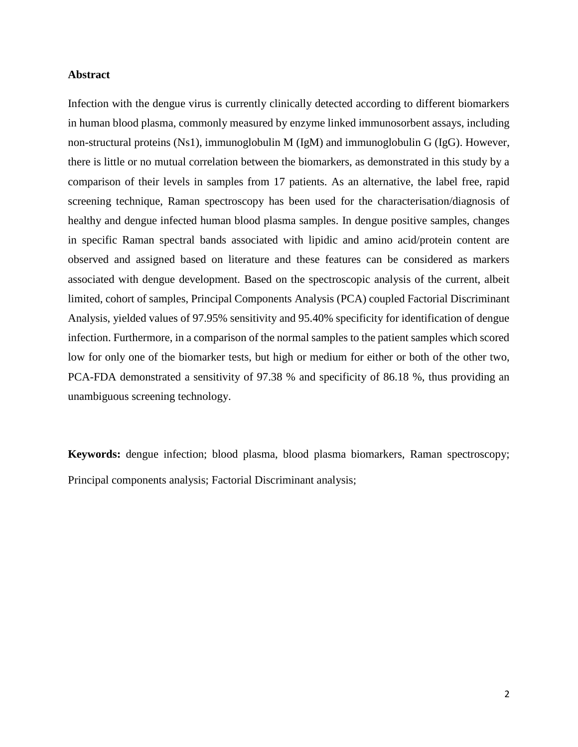#### **Abstract**

Infection with the dengue virus is currently clinically detected according to different biomarkers in human blood plasma, commonly measured by enzyme linked immunosorbent assays, including non-structural proteins (Ns1), immunoglobulin M (IgM) and immunoglobulin G (IgG). However, there is little or no mutual correlation between the biomarkers, as demonstrated in this study by a comparison of their levels in samples from 17 patients. As an alternative, the label free, rapid screening technique, Raman spectroscopy has been used for the characterisation/diagnosis of healthy and dengue infected human blood plasma samples. In dengue positive samples, changes in specific Raman spectral bands associated with lipidic and amino acid/protein content are observed and assigned based on literature and these features can be considered as markers associated with dengue development. Based on the spectroscopic analysis of the current, albeit limited, cohort of samples, Principal Components Analysis (PCA) coupled Factorial Discriminant Analysis, yielded values of 97.95% sensitivity and 95.40% specificity for identification of dengue infection. Furthermore, in a comparison of the normal samples to the patient samples which scored low for only one of the biomarker tests, but high or medium for either or both of the other two, PCA-FDA demonstrated a sensitivity of 97.38 % and specificity of 86.18 %, thus providing an unambiguous screening technology.

**Keywords:** dengue infection; blood plasma, blood plasma biomarkers, Raman spectroscopy; Principal components analysis; Factorial Discriminant analysis;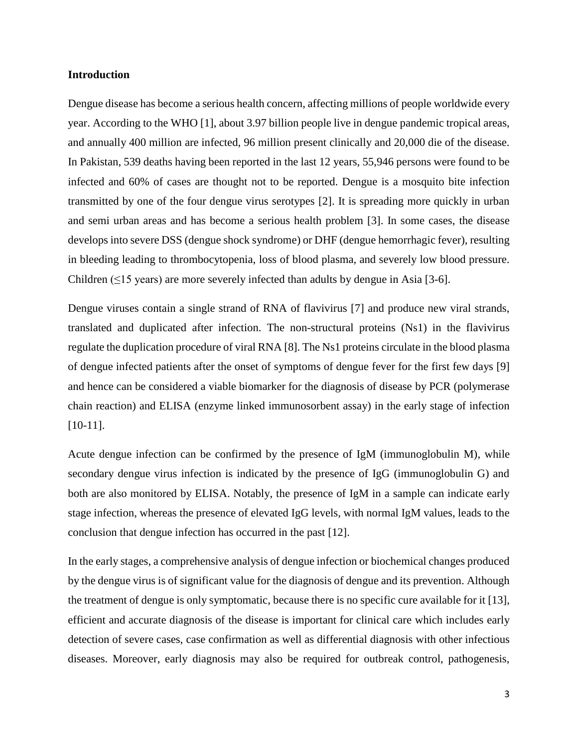#### **Introduction**

Dengue disease has become a serious health concern, affecting millions of people worldwide every year. According to the WHO [1], about 3.97 billion people live in dengue pandemic tropical areas, and annually 400 million are infected, 96 million present clinically and 20,000 die of the disease. In Pakistan, 539 deaths having been reported in the last 12 years, 55,946 persons were found to be infected and 60% of cases are thought not to be reported. Dengue is a mosquito bite infection transmitted by one of the four dengue virus serotypes [2]. It is spreading more quickly in urban and semi urban areas and has become a serious health problem [3]. In some cases, the disease develops into severe DSS (dengue shock syndrome) or DHF (dengue hemorrhagic fever), resulting in bleeding leading to thrombocytopenia, loss of blood plasma, and severely low blood pressure. Children  $(≤15$  years) are more severely infected than adults by dengue in Asia [3-6].

Dengue viruses contain a single strand of RNA of flavivirus [7] and produce new viral strands, translated and duplicated after infection. The non-structural proteins (Ns1) in the flavivirus regulate the duplication procedure of viral RNA [8]. The Ns1 proteins circulate in the blood plasma of dengue infected patients after the onset of symptoms of dengue fever for the first few days [9] and hence can be considered a viable biomarker for the diagnosis of disease by PCR (polymerase chain reaction) and ELISA (enzyme linked immunosorbent assay) in the early stage of infection [10-11].

Acute dengue infection can be confirmed by the presence of IgM (immunoglobulin M), while secondary dengue virus infection is indicated by the presence of IgG (immunoglobulin G) and both are also monitored by ELISA. Notably, the presence of IgM in a sample can indicate early stage infection, whereas the presence of elevated IgG levels, with normal IgM values, leads to the conclusion that dengue infection has occurred in the past [12].

In the early stages, a comprehensive analysis of dengue infection or biochemical changes produced by the dengue virus is of significant value for the diagnosis of dengue and its prevention. Although the treatment of dengue is only symptomatic, because there is no specific cure available for it [13], efficient and accurate diagnosis of the disease is important for clinical care which includes early detection of severe cases, case confirmation as well as differential diagnosis with other infectious diseases. Moreover, early diagnosis may also be required for outbreak control, pathogenesis,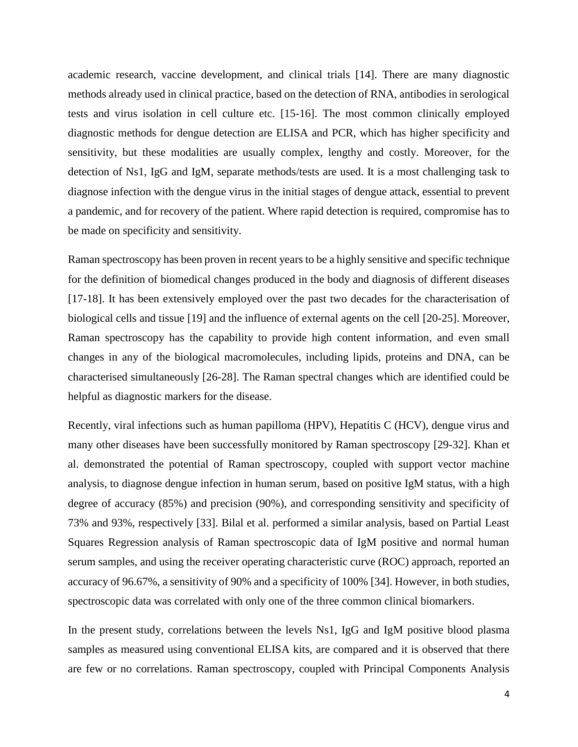academic research, vaccine development, and clinical trials [14]. There are many diagnostic methods already used in clinical practice, based on the detection of RNA, antibodies in serological tests and virus isolation in cell culture etc. [15-16]. The most common clinically employed diagnostic methods for dengue detection are ELISA and PCR, which has higher specificity and sensitivity, but these modalities are usually complex, lengthy and costly. Moreover, for the detection of Ns1, IgG and IgM, separate methods/tests are used. It is a most challenging task to diagnose infection with the dengue virus in the initial stages of dengue attack, essential to prevent a pandemic, and for recovery of the patient. Where rapid detection is required, compromise has to be made on specificity and sensitivity.

Raman spectroscopy has been proven in recent years to be a highly sensitive and specific technique for the definition of biomedical changes produced in the body and diagnosis of different diseases [17-18]. It has been extensively employed over the past two decades for the characterisation of biological cells and tissue [19] and the influence of external agents on the cell [20-25]. Moreover, Raman spectroscopy has the capability to provide high content information, and even small changes in any of the biological macromolecules, including lipids, proteins and DNA, can be characterised simultaneously [26-28]. The Raman spectral changes which are identified could be helpful as diagnostic markers for the disease.

Recently, viral infections such as human papilloma (HPV), Hepatitis C (HCV), dengue virus and many other diseases have been successfully monitored by Raman spectroscopy [29-32]. Khan et al. demonstrated the potential of Raman spectroscopy, coupled with support vector machine analysis, to diagnose dengue infection in human serum, based on positive IgM status, with a high degree of accuracy (85%) and precision (90%), and corresponding sensitivity and specificity of 73% and 93%, respectively [33]. Bilal et al. performed a similar analysis, based on Partial Least Squares Regression analysis of Raman spectroscopic data of IgM positive and normal human serum samples, and using the receiver operating characteristic curve (ROC) approach, reported an accuracy of 96.67%, a sensitivity of 90% and a specificity of 100% [34]. However, in both studies, spectroscopic data was correlated with only one of the three common clinical biomarkers.

In the present study, correlations between the levels Ns1, IgG and IgM positive blood plasma samples as measured using conventional ELISA kits, are compared and it is observed that there are few or no correlations. Raman spectroscopy, coupled with Principal Components Analysis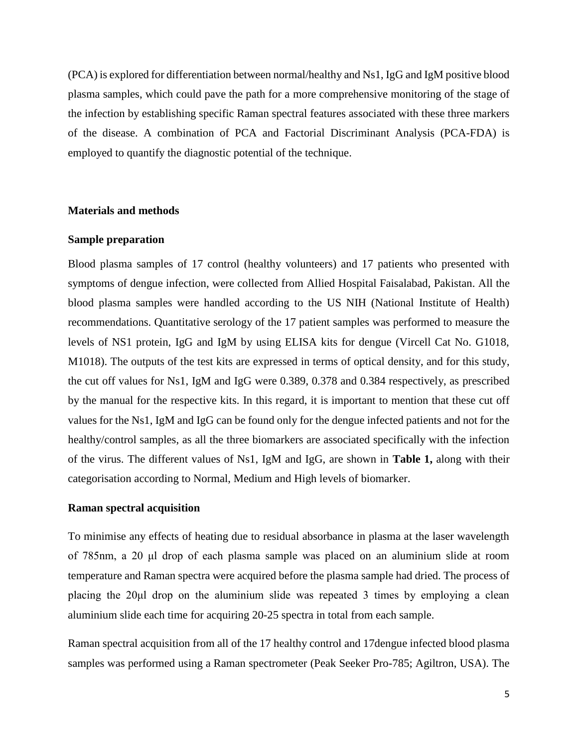(PCA) is explored for differentiation between normal/healthy and Ns1, IgG and IgM positive blood plasma samples, which could pave the path for a more comprehensive monitoring of the stage of the infection by establishing specific Raman spectral features associated with these three markers of the disease. A combination of PCA and Factorial Discriminant Analysis (PCA-FDA) is employed to quantify the diagnostic potential of the technique.

#### **Materials and methods**

#### **Sample preparation**

Blood plasma samples of 17 control (healthy volunteers) and 17 patients who presented with symptoms of dengue infection, were collected from Allied Hospital Faisalabad, Pakistan. All the blood plasma samples were handled according to the US NIH (National Institute of Health) recommendations. Quantitative serology of the 17 patient samples was performed to measure the levels of NS1 protein, IgG and IgM by using ELISA kits for dengue (Vircell Cat No. G1018, M1018). The outputs of the test kits are expressed in terms of optical density, and for this study, the cut off values for Ns1, IgM and IgG were 0.389, 0.378 and 0.384 respectively, as prescribed by the manual for the respective kits. In this regard, it is important to mention that these cut off values for the Ns1, IgM and IgG can be found only for the dengue infected patients and not for the healthy/control samples, as all the three biomarkers are associated specifically with the infection of the virus. The different values of Ns1, IgM and IgG, are shown in **Table 1,** along with their categorisation according to Normal, Medium and High levels of biomarker.

#### **Raman spectral acquisition**

To minimise any effects of heating due to residual absorbance in plasma at the laser wavelength of 785nm, a 20 μl drop of each plasma sample was placed on an aluminium slide at room temperature and Raman spectra were acquired before the plasma sample had dried. The process of placing the 20μl drop on the aluminium slide was repeated 3 times by employing a clean aluminium slide each time for acquiring 20-25 spectra in total from each sample.

Raman spectral acquisition from all of the 17 healthy control and 17dengue infected blood plasma samples was performed using a Raman spectrometer (Peak Seeker Pro-785; Agiltron, USA). The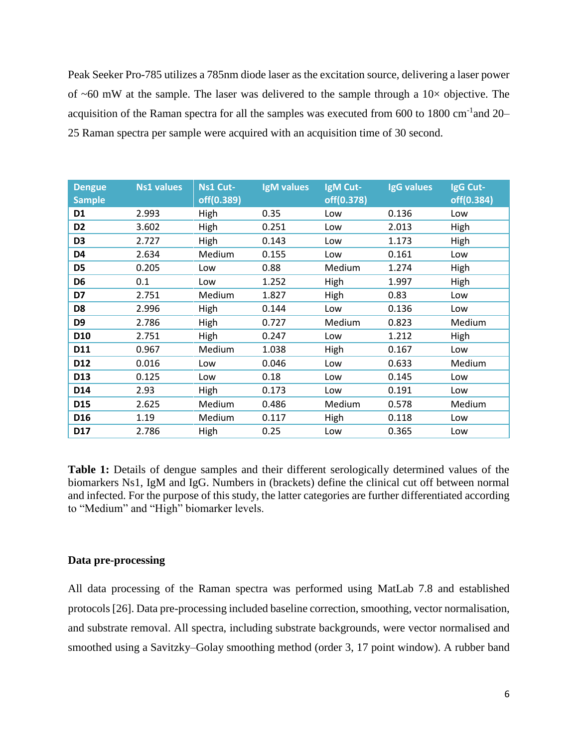Peak Seeker Pro-785 utilizes a 785nm diode laser as the excitation source, delivering a laser power of  $\sim$ 60 mW at the sample. The laser was delivered to the sample through a 10 $\times$  objective. The acquisition of the Raman spectra for all the samples was executed from 600 to 1800 cm<sup>-1</sup>and 20– 25 Raman spectra per sample were acquired with an acquisition time of 30 second.

| <b>Dengue</b><br><b>Sample</b> | <b>Ns1 values</b> | Ns1 Cut-<br>off(0.389) | <b>IgM</b> values | IgM Cut-<br>off(0.378) | <b>IgG</b> values | IgG Cut-<br>off(0.384) |
|--------------------------------|-------------------|------------------------|-------------------|------------------------|-------------------|------------------------|
| D <sub>1</sub>                 | 2.993             | High                   | 0.35              | Low                    | 0.136             | Low                    |
| D <sub>2</sub>                 | 3.602             | High                   | 0.251             | Low                    | 2.013             | High                   |
| D <sub>3</sub>                 | 2.727             | High                   | 0.143             | Low                    | 1.173             | High                   |
| D <sub>4</sub>                 | 2.634             | Medium                 | 0.155             | Low                    | 0.161             | Low                    |
| D <sub>5</sub>                 | 0.205             | Low                    | 0.88              | Medium                 | 1.274             | High                   |
| D <sub>6</sub>                 | 0.1               | Low                    | 1.252             | High                   | 1.997             | High                   |
| D7                             | 2.751             | Medium                 | 1.827             | High                   | 0.83              | Low                    |
| D <sub>8</sub>                 | 2.996             | High                   | 0.144             | Low                    | 0.136             | Low                    |
| D <sub>9</sub>                 | 2.786             | High                   | 0.727             | Medium                 | 0.823             | Medium                 |
| D <sub>10</sub>                | 2.751             | High                   | 0.247             | Low                    | 1.212             | High                   |
| D11                            | 0.967             | Medium                 | 1.038             | High                   | 0.167             | Low                    |
| D12                            | 0.016             | Low                    | 0.046             | Low                    | 0.633             | Medium                 |
| D13                            | 0.125             | Low                    | 0.18              | Low                    | 0.145             | Low                    |
| D14                            | 2.93              | High                   | 0.173             | Low                    | 0.191             | Low                    |
| D15                            | 2.625             | Medium                 | 0.486             | Medium                 | 0.578             | Medium                 |
| D <sub>16</sub>                | 1.19              | Medium                 | 0.117             | High                   | 0.118             | Low                    |
| D17                            | 2.786             | High                   | 0.25              | Low                    | 0.365             | Low                    |

**Table 1:** Details of dengue samples and their different serologically determined values of the biomarkers Ns1, IgM and IgG. Numbers in (brackets) define the clinical cut off between normal and infected. For the purpose of this study, the latter categories are further differentiated according to "Medium" and "High" biomarker levels.

#### **Data pre-processing**

All data processing of the Raman spectra was performed using MatLab 7.8 and established protocols [26]. Data pre-processing included baseline correction, smoothing, vector normalisation, and substrate removal. All spectra, including substrate backgrounds, were vector normalised and smoothed using a Savitzky–Golay smoothing method (order 3, 17 point window). A rubber band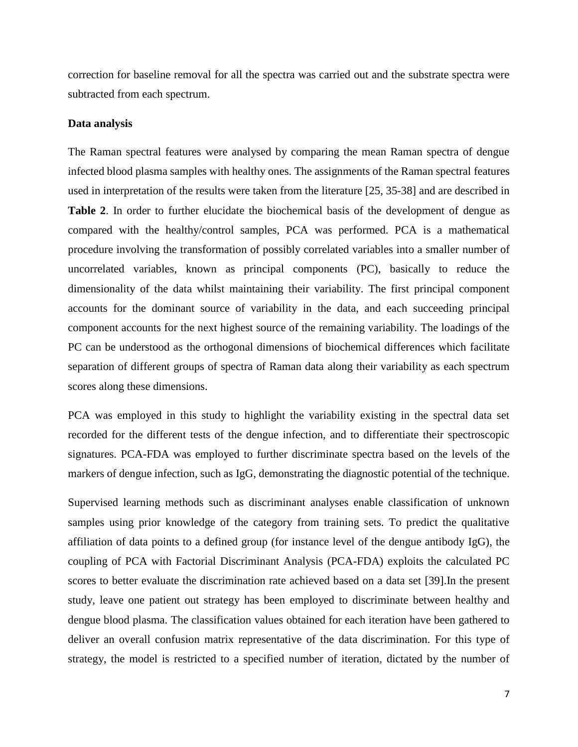correction for baseline removal for all the spectra was carried out and the substrate spectra were subtracted from each spectrum.

#### **Data analysis**

The Raman spectral features were analysed by comparing the mean Raman spectra of dengue infected blood plasma samples with healthy ones. The assignments of the Raman spectral features used in interpretation of the results were taken from the literature [25, 35-38] and are described in **Table 2**. In order to further elucidate the biochemical basis of the development of dengue as compared with the healthy/control samples, PCA was performed. PCA is a mathematical procedure involving the transformation of possibly correlated variables into a smaller number of uncorrelated variables, known as principal components (PC), basically to reduce the dimensionality of the data whilst maintaining their variability. The first principal component accounts for the dominant source of variability in the data, and each succeeding principal component accounts for the next highest source of the remaining variability. The loadings of the PC can be understood as the orthogonal dimensions of biochemical differences which facilitate separation of different groups of spectra of Raman data along their variability as each spectrum scores along these dimensions.

PCA was employed in this study to highlight the variability existing in the spectral data set recorded for the different tests of the dengue infection, and to differentiate their spectroscopic signatures. PCA-FDA was employed to further discriminate spectra based on the levels of the markers of dengue infection, such as IgG, demonstrating the diagnostic potential of the technique.

Supervised learning methods such as discriminant analyses enable classification of unknown samples using prior knowledge of the category from training sets. To predict the qualitative affiliation of data points to a defined group (for instance level of the dengue antibody IgG), the coupling of PCA with Factorial Discriminant Analysis (PCA-FDA) exploits the calculated PC scores to better evaluate the discrimination rate achieved based on a data set [39].In the present study, leave one patient out strategy has been employed to discriminate between healthy and dengue blood plasma. The classification values obtained for each iteration have been gathered to deliver an overall confusion matrix representative of the data discrimination. For this type of strategy, the model is restricted to a specified number of iteration, dictated by the number of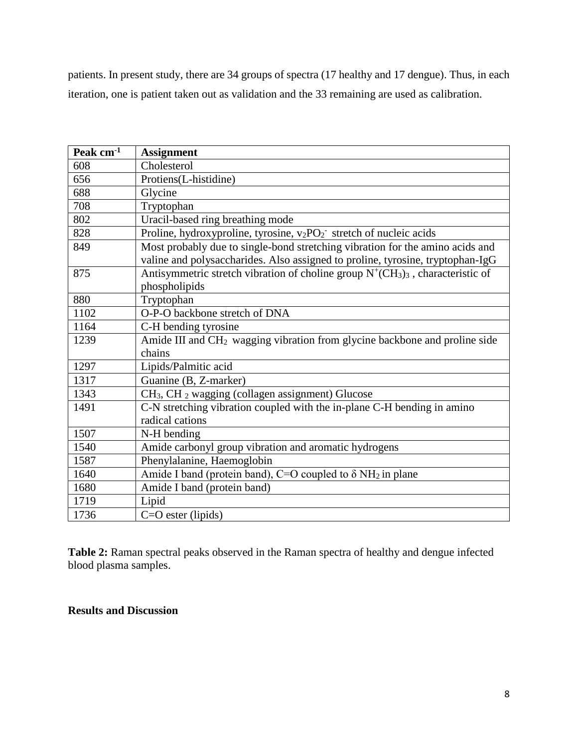patients. In present study, there are 34 groups of spectra (17 healthy and 17 dengue). Thus, in each iteration, one is patient taken out as validation and the 33 remaining are used as calibration.

| Peak cm <sup>-1</sup> | <b>Assignment</b>                                                                                                                                               |
|-----------------------|-----------------------------------------------------------------------------------------------------------------------------------------------------------------|
| 608                   | Cholesterol                                                                                                                                                     |
| 656                   | Protiens(L-histidine)                                                                                                                                           |
| 688                   | Glycine                                                                                                                                                         |
| 708                   | Tryptophan                                                                                                                                                      |
| 802                   | Uracil-based ring breathing mode                                                                                                                                |
| 828                   | Proline, hydroxyproline, tyrosine, $v_2PO_2$ stretch of nucleic acids                                                                                           |
| 849                   | Most probably due to single-bond stretching vibration for the amino acids and<br>valine and polysaccharides. Also assigned to proline, tyrosine, tryptophan-IgG |
| 875                   | Antisymmetric stretch vibration of choline group $N^+(CH_3)_3$ , characteristic of                                                                              |
|                       | phospholipids                                                                                                                                                   |
| 880                   | Tryptophan                                                                                                                                                      |
| 1102                  | O-P-O backbone stretch of DNA                                                                                                                                   |
| 1164                  | C-H bending tyrosine                                                                                                                                            |
| 1239                  | Amide III and CH <sub>2</sub> wagging vibration from glycine backbone and proline side                                                                          |
|                       | chains                                                                                                                                                          |
| 1297                  | Lipids/Palmitic acid                                                                                                                                            |
| 1317                  | Guanine (B, Z-marker)                                                                                                                                           |
| 1343                  | CH <sub>3</sub> , CH <sub>2</sub> wagging (collagen assignment) Glucose                                                                                         |
| 1491                  | C-N stretching vibration coupled with the in-plane C-H bending in amino                                                                                         |
|                       | radical cations                                                                                                                                                 |
| 1507                  | N-H bending                                                                                                                                                     |
| 1540                  | Amide carbonyl group vibration and aromatic hydrogens                                                                                                           |
| 1587                  | Phenylalanine, Haemoglobin                                                                                                                                      |
| 1640                  | Amide I band (protein band), C=O coupled to $\delta NH_2$ in plane                                                                                              |
| 1680                  | Amide I band (protein band)                                                                                                                                     |
| 1719                  | Lipid                                                                                                                                                           |
| 1736                  | $C=O$ ester (lipids)                                                                                                                                            |

**Table 2:** Raman spectral peaks observed in the Raman spectra of healthy and dengue infected blood plasma samples.

# **Results and Discussion**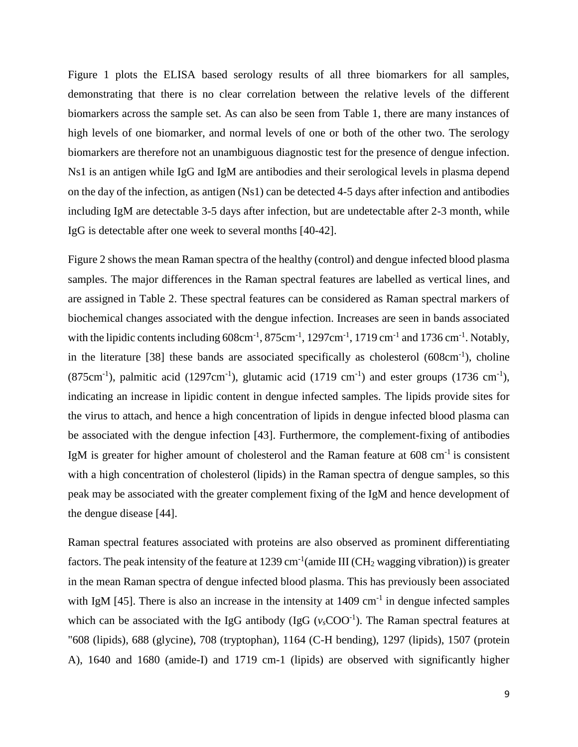Figure 1 plots the ELISA based serology results of all three biomarkers for all samples, demonstrating that there is no clear correlation between the relative levels of the different biomarkers across the sample set. As can also be seen from Table 1, there are many instances of high levels of one biomarker, and normal levels of one or both of the other two. The serology biomarkers are therefore not an unambiguous diagnostic test for the presence of dengue infection. Ns1 is an antigen while IgG and IgM are antibodies and their serological levels in plasma depend on the day of the infection, as antigen (Ns1) can be detected 4-5 days after infection and antibodies including IgM are detectable 3-5 days after infection, but are undetectable after 2-3 month, while IgG is detectable after one week to several months [40-42].

Figure 2 shows the mean Raman spectra of the healthy (control) and dengue infected blood plasma samples. The major differences in the Raman spectral features are labelled as vertical lines, and are assigned in Table 2. These spectral features can be considered as Raman spectral markers of biochemical changes associated with the dengue infection. Increases are seen in bands associated with the lipidic contents including  $608 \text{cm}^{-1}$ ,  $875 \text{cm}^{-1}$ ,  $1297 \text{cm}^{-1}$ ,  $1719 \text{cm}^{-1}$  and  $1736 \text{cm}^{-1}$ . Notably, in the literature [38] these bands are associated specifically as cholesterol  $(608 \text{cm}^{-1})$ , choline  $(875 \text{cm}^{-1})$ , palmitic acid  $(1297 \text{cm}^{-1})$ , glutamic acid  $(1719 \text{cm}^{-1})$  and ester groups  $(1736 \text{cm}^{-1})$ , indicating an increase in lipidic content in dengue infected samples. The lipids provide sites for the virus to attach, and hence a high concentration of lipids in dengue infected blood plasma can be associated with the dengue infection [43]. Furthermore, the complement-fixing of antibodies IgM is greater for higher amount of cholesterol and the Raman feature at 608 cm<sup>-1</sup> is consistent with a high concentration of cholesterol (lipids) in the Raman spectra of dengue samples, so this peak may be associated with the greater complement fixing of the IgM and hence development of the dengue disease [44].

Raman spectral features associated with proteins are also observed as prominent differentiating factors. The peak intensity of the feature at 1239 cm<sup>-1</sup>(amide III (CH<sub>2</sub> wagging vibration)) is greater in the mean Raman spectra of dengue infected blood plasma. This has previously been associated with IgM  $[45]$ . There is also an increase in the intensity at 1409 cm<sup>-1</sup> in dengue infected samples which can be associated with the IgG antibody (IgG  $(v_s \text{COO}^{-1})$ ). The Raman spectral features at "608 (lipids), 688 (glycine), 708 (tryptophan), 1164 (C-H bending), 1297 (lipids), 1507 (protein A), 1640 and 1680 (amide-I) and 1719 cm-1 (lipids) are observed with significantly higher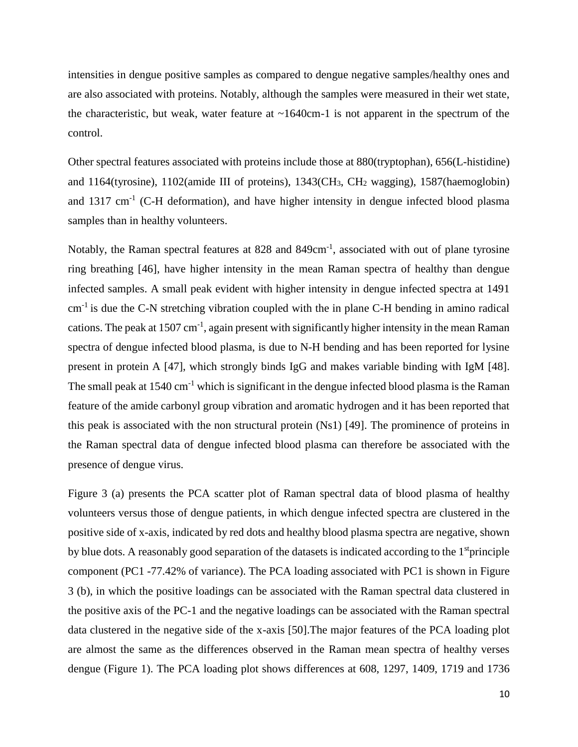intensities in dengue positive samples as compared to dengue negative samples/healthy ones and are also associated with proteins. Notably, although the samples were measured in their wet state, the characteristic, but weak, water feature at  $\sim$ 1640cm-1 is not apparent in the spectrum of the control.

Other spectral features associated with proteins include those at 880(tryptophan), 656(L-histidine) and 1164(tyrosine), 1102(amide III of proteins), 1343(CH3, CH<sup>2</sup> wagging), 1587(haemoglobin) and  $1317 \text{ cm}^{-1}$  (C-H deformation), and have higher intensity in dengue infected blood plasma samples than in healthy volunteers.

Notably, the Raman spectral features at 828 and 849cm<sup>-1</sup>, associated with out of plane tyrosine ring breathing [46], have higher intensity in the mean Raman spectra of healthy than dengue infected samples. A small peak evident with higher intensity in dengue infected spectra at 1491  $cm<sup>-1</sup>$  is due the C-N stretching vibration coupled with the in plane C-H bending in amino radical cations. The peak at  $1507 \text{ cm}^{-1}$ , again present with significantly higher intensity in the mean Raman spectra of dengue infected blood plasma, is due to N-H bending and has been reported for lysine present in protein A [47], which strongly binds IgG and makes variable binding with IgM [48]. The small peak at  $1540 \text{ cm}^{-1}$  which is significant in the dengue infected blood plasma is the Raman feature of the amide carbonyl group vibration and aromatic hydrogen and it has been reported that this peak is associated with the non structural protein (Ns1) [49]. The prominence of proteins in the Raman spectral data of dengue infected blood plasma can therefore be associated with the presence of dengue virus.

Figure 3 (a) presents the PCA scatter plot of Raman spectral data of blood plasma of healthy volunteers versus those of dengue patients, in which dengue infected spectra are clustered in the positive side of x-axis, indicated by red dots and healthy blood plasma spectra are negative, shown by blue dots. A reasonably good separation of the datasets is indicated according to the 1<sup>st</sup>principle component (PC1 -77.42% of variance). The PCA loading associated with PC1 is shown in Figure 3 (b), in which the positive loadings can be associated with the Raman spectral data clustered in the positive axis of the PC-1 and the negative loadings can be associated with the Raman spectral data clustered in the negative side of the x-axis [50].The major features of the PCA loading plot are almost the same as the differences observed in the Raman mean spectra of healthy verses dengue (Figure 1). The PCA loading plot shows differences at 608, 1297, 1409, 1719 and 1736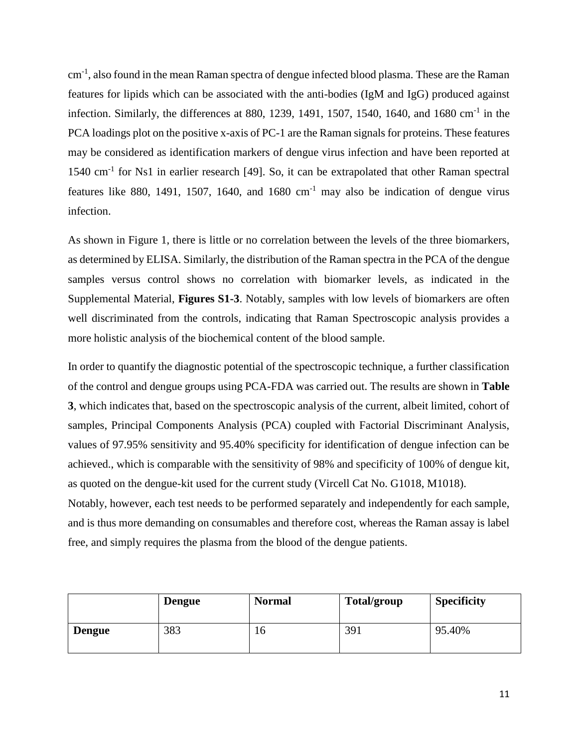cm<sup>-1</sup>, also found in the mean Raman spectra of dengue infected blood plasma. These are the Raman features for lipids which can be associated with the anti-bodies (IgM and IgG) produced against infection. Similarly, the differences at 880, 1239, 1491, 1507, 1540, 1640, and 1680 cm<sup>-1</sup> in the PCA loadings plot on the positive x-axis of PC-1 are the Raman signals for proteins. These features may be considered as identification markers of dengue virus infection and have been reported at 1540 cm-1 for Ns1 in earlier research [49]. So, it can be extrapolated that other Raman spectral features like 880, 1491, 1507, 1640, and 1680  $cm^{-1}$  may also be indication of dengue virus infection.

As shown in Figure 1, there is little or no correlation between the levels of the three biomarkers, as determined by ELISA. Similarly, the distribution of the Raman spectra in the PCA of the dengue samples versus control shows no correlation with biomarker levels, as indicated in the Supplemental Material, **Figures S1-3**. Notably, samples with low levels of biomarkers are often well discriminated from the controls, indicating that Raman Spectroscopic analysis provides a more holistic analysis of the biochemical content of the blood sample.

In order to quantify the diagnostic potential of the spectroscopic technique, a further classification of the control and dengue groups using PCA-FDA was carried out. The results are shown in **Table 3**, which indicates that, based on the spectroscopic analysis of the current, albeit limited, cohort of samples, Principal Components Analysis (PCA) coupled with Factorial Discriminant Analysis, values of 97.95% sensitivity and 95.40% specificity for identification of dengue infection can be achieved., which is comparable with the sensitivity of 98% and specificity of 100% of dengue kit, as quoted on the dengue-kit used for the current study (Vircell Cat No. G1018, M1018). Notably, however, each test needs to be performed separately and independently for each sample, and is thus more demanding on consumables and therefore cost, whereas the Raman assay is label free, and simply requires the plasma from the blood of the dengue patients.

|               | <b>Dengue</b> | <b>Normal</b> | Total/group | <b>Specificity</b> |
|---------------|---------------|---------------|-------------|--------------------|
| <b>Dengue</b> | 383           | 10            | 391         | 95.40%             |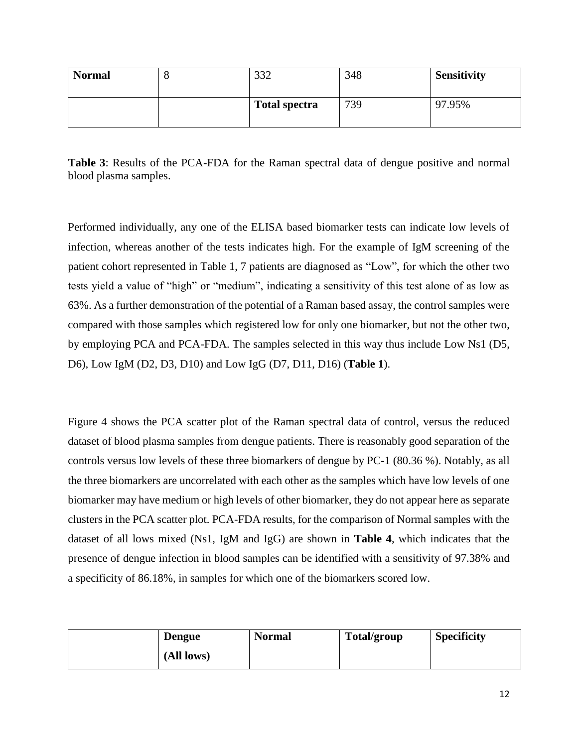| <b>Normal</b> | U | 222<br>JJZ           | 348 | <b>Sensitivity</b> |
|---------------|---|----------------------|-----|--------------------|
|               |   | <b>Total spectra</b> | 739 | 97.95%             |

**Table 3**: Results of the PCA-FDA for the Raman spectral data of dengue positive and normal blood plasma samples.

Performed individually, any one of the ELISA based biomarker tests can indicate low levels of infection, whereas another of the tests indicates high. For the example of IgM screening of the patient cohort represented in Table 1, 7 patients are diagnosed as "Low", for which the other two tests yield a value of "high" or "medium", indicating a sensitivity of this test alone of as low as 63%. As a further demonstration of the potential of a Raman based assay, the control samples were compared with those samples which registered low for only one biomarker, but not the other two, by employing PCA and PCA-FDA. The samples selected in this way thus include Low Ns1 (D5, D6), Low IgM (D2, D3, D10) and Low IgG (D7, D11, D16) (**Table 1**).

Figure 4 shows the PCA scatter plot of the Raman spectral data of control, versus the reduced dataset of blood plasma samples from dengue patients. There is reasonably good separation of the controls versus low levels of these three biomarkers of dengue by PC-1 (80.36 %). Notably, as all the three biomarkers are uncorrelated with each other as the samples which have low levels of one biomarker may have medium or high levels of other biomarker, they do not appear here as separate clusters in the PCA scatter plot. PCA-FDA results, for the comparison of Normal samples with the dataset of all lows mixed (Ns1, IgM and IgG) are shown in **Table 4**, which indicates that the presence of dengue infection in blood samples can be identified with a sensitivity of 97.38% and a specificity of 86.18%, in samples for which one of the biomarkers scored low.

| <b>Dengue</b> | <b>Normal</b> | Total/group | <b>Specificity</b> |
|---------------|---------------|-------------|--------------------|
| (All lows)    |               |             |                    |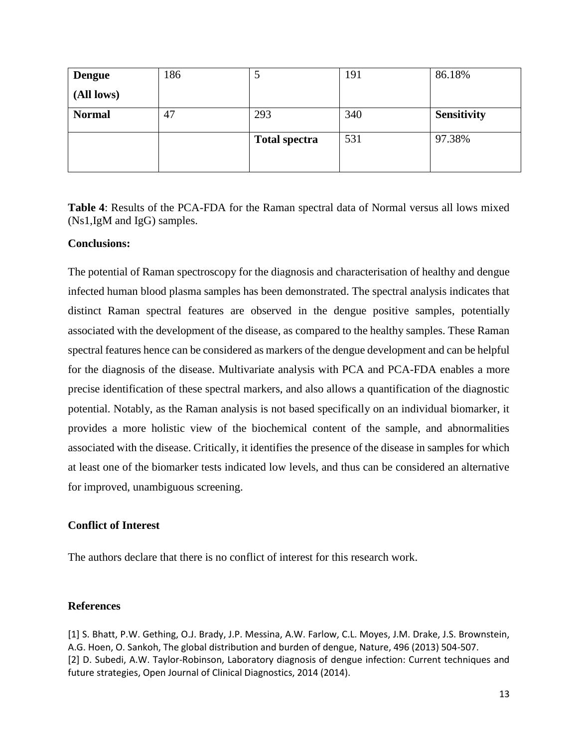| <b>Dengue</b> | 186 |                      | 191 | 86.18%             |
|---------------|-----|----------------------|-----|--------------------|
| (All lows)    |     |                      |     |                    |
| <b>Normal</b> | 47  | 293                  | 340 | <b>Sensitivity</b> |
|               |     | <b>Total spectra</b> | 531 | 97.38%             |

**Table 4**: Results of the PCA-FDA for the Raman spectral data of Normal versus all lows mixed (Ns1,IgM and IgG) samples.

### **Conclusions:**

The potential of Raman spectroscopy for the diagnosis and characterisation of healthy and dengue infected human blood plasma samples has been demonstrated. The spectral analysis indicates that distinct Raman spectral features are observed in the dengue positive samples, potentially associated with the development of the disease, as compared to the healthy samples. These Raman spectral features hence can be considered as markers of the dengue development and can be helpful for the diagnosis of the disease. Multivariate analysis with PCA and PCA-FDA enables a more precise identification of these spectral markers, and also allows a quantification of the diagnostic potential. Notably, as the Raman analysis is not based specifically on an individual biomarker, it provides a more holistic view of the biochemical content of the sample, and abnormalities associated with the disease. Critically, it identifies the presence of the disease in samples for which at least one of the biomarker tests indicated low levels, and thus can be considered an alternative for improved, unambiguous screening.

# **Conflict of Interest**

The authors declare that there is no conflict of interest for this research work.

# **References**

[1] S. Bhatt, P.W. Gething, O.J. Brady, J.P. Messina, A.W. Farlow, C.L. Moyes, J.M. Drake, J.S. Brownstein, A.G. Hoen, O. Sankoh, The global distribution and burden of dengue, Nature, 496 (2013) 504-507. [2] D. Subedi, A.W. Taylor-Robinson, Laboratory diagnosis of dengue infection: Current techniques and future strategies, Open Journal of Clinical Diagnostics, 2014 (2014).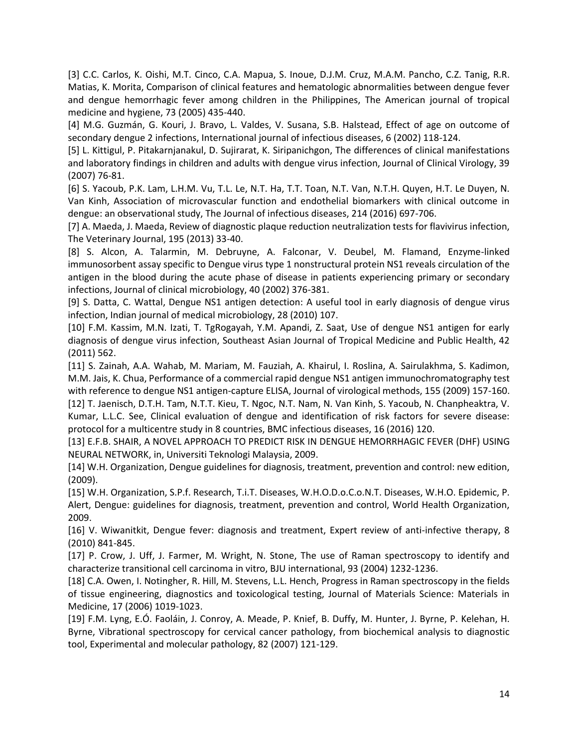[3] C.C. Carlos, K. Oishi, M.T. Cinco, C.A. Mapua, S. Inoue, D.J.M. Cruz, M.A.M. Pancho, C.Z. Tanig, R.R. Matias, K. Morita, Comparison of clinical features and hematologic abnormalities between dengue fever and dengue hemorrhagic fever among children in the Philippines, The American journal of tropical medicine and hygiene, 73 (2005) 435-440.

[4] M.G. Guzmán, G. Kouri, J. Bravo, L. Valdes, V. Susana, S.B. Halstead, Effect of age on outcome of secondary dengue 2 infections, International journal of infectious diseases, 6 (2002) 118-124.

[5] L. Kittigul, P. Pitakarnjanakul, D. Sujirarat, K. Siripanichgon, The differences of clinical manifestations and laboratory findings in children and adults with dengue virus infection, Journal of Clinical Virology, 39 (2007) 76-81.

[6] S. Yacoub, P.K. Lam, L.H.M. Vu, T.L. Le, N.T. Ha, T.T. Toan, N.T. Van, N.T.H. Quyen, H.T. Le Duyen, N. Van Kinh, Association of microvascular function and endothelial biomarkers with clinical outcome in dengue: an observational study, The Journal of infectious diseases, 214 (2016) 697-706.

[7] A. Maeda, J. Maeda, Review of diagnostic plaque reduction neutralization tests for flavivirus infection, The Veterinary Journal, 195 (2013) 33-40.

[8] S. Alcon, A. Talarmin, M. Debruyne, A. Falconar, V. Deubel, M. Flamand, Enzyme-linked immunosorbent assay specific to Dengue virus type 1 nonstructural protein NS1 reveals circulation of the antigen in the blood during the acute phase of disease in patients experiencing primary or secondary infections, Journal of clinical microbiology, 40 (2002) 376-381.

[9] S. Datta, C. Wattal, Dengue NS1 antigen detection: A useful tool in early diagnosis of dengue virus infection, Indian journal of medical microbiology, 28 (2010) 107.

[10] F.M. Kassim, M.N. Izati, T. TgRogayah, Y.M. Apandi, Z. Saat, Use of dengue NS1 antigen for early diagnosis of dengue virus infection, Southeast Asian Journal of Tropical Medicine and Public Health, 42 (2011) 562.

[11] S. Zainah, A.A. Wahab, M. Mariam, M. Fauziah, A. Khairul, I. Roslina, A. Sairulakhma, S. Kadimon, M.M. Jais, K. Chua, Performance of a commercial rapid dengue NS1 antigen immunochromatography test with reference to dengue NS1 antigen-capture ELISA, Journal of virological methods, 155 (2009) 157-160. [12] T. Jaenisch, D.T.H. Tam, N.T.T. Kieu, T. Ngoc, N.T. Nam, N. Van Kinh, S. Yacoub, N. Chanpheaktra, V. Kumar, L.L.C. See, Clinical evaluation of dengue and identification of risk factors for severe disease: protocol for a multicentre study in 8 countries, BMC infectious diseases, 16 (2016) 120.

[13] E.F.B. SHAIR, A NOVEL APPROACH TO PREDICT RISK IN DENGUE HEMORRHAGIC FEVER (DHF) USING NEURAL NETWORK, in, Universiti Teknologi Malaysia, 2009.

[14] W.H. Organization, Dengue guidelines for diagnosis, treatment, prevention and control: new edition, (2009).

[15] W.H. Organization, S.P.f. Research, T.i.T. Diseases, W.H.O.D.o.C.o.N.T. Diseases, W.H.O. Epidemic, P. Alert, Dengue: guidelines for diagnosis, treatment, prevention and control, World Health Organization, 2009.

[16] V. Wiwanitkit, Dengue fever: diagnosis and treatment, Expert review of anti-infective therapy, 8 (2010) 841-845.

[17] P. Crow, J. Uff, J. Farmer, M. Wright, N. Stone, The use of Raman spectroscopy to identify and characterize transitional cell carcinoma in vitro, BJU international, 93 (2004) 1232-1236.

[18] C.A. Owen, I. Notingher, R. Hill, M. Stevens, L.L. Hench, Progress in Raman spectroscopy in the fields of tissue engineering, diagnostics and toxicological testing, Journal of Materials Science: Materials in Medicine, 17 (2006) 1019-1023.

[19] F.M. Lyng, E.Ó. Faoláin, J. Conroy, A. Meade, P. Knief, B. Duffy, M. Hunter, J. Byrne, P. Kelehan, H. Byrne, Vibrational spectroscopy for cervical cancer pathology, from biochemical analysis to diagnostic tool, Experimental and molecular pathology, 82 (2007) 121-129.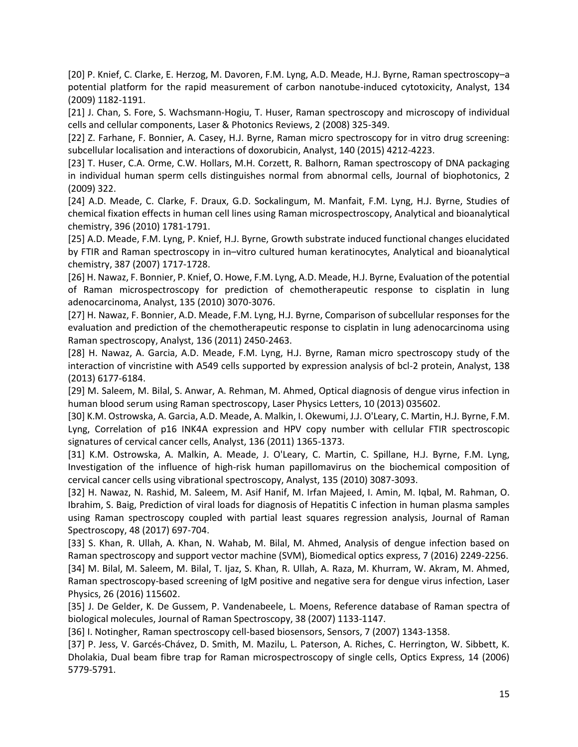[20] P. Knief, C. Clarke, E. Herzog, M. Davoren, F.M. Lyng, A.D. Meade, H.J. Byrne, Raman spectroscopy–a potential platform for the rapid measurement of carbon nanotube-induced cytotoxicity, Analyst, 134 (2009) 1182-1191.

[21] J. Chan, S. Fore, S. Wachsmann‐Hogiu, T. Huser, Raman spectroscopy and microscopy of individual cells and cellular components, Laser & Photonics Reviews, 2 (2008) 325-349.

[22] Z. Farhane, F. Bonnier, A. Casey, H.J. Byrne, Raman micro spectroscopy for in vitro drug screening: subcellular localisation and interactions of doxorubicin, Analyst, 140 (2015) 4212-4223.

[23] T. Huser, C.A. Orme, C.W. Hollars, M.H. Corzett, R. Balhorn, Raman spectroscopy of DNA packaging in individual human sperm cells distinguishes normal from abnormal cells, Journal of biophotonics, 2 (2009) 322.

[24] A.D. Meade, C. Clarke, F. Draux, G.D. Sockalingum, M. Manfait, F.M. Lyng, H.J. Byrne, Studies of chemical fixation effects in human cell lines using Raman microspectroscopy, Analytical and bioanalytical chemistry, 396 (2010) 1781-1791.

[25] A.D. Meade, F.M. Lyng, P. Knief, H.J. Byrne, Growth substrate induced functional changes elucidated by FTIR and Raman spectroscopy in in–vitro cultured human keratinocytes, Analytical and bioanalytical chemistry, 387 (2007) 1717-1728.

[26] H. Nawaz, F. Bonnier, P. Knief, O. Howe, F.M. Lyng, A.D. Meade, H.J. Byrne, Evaluation of the potential of Raman microspectroscopy for prediction of chemotherapeutic response to cisplatin in lung adenocarcinoma, Analyst, 135 (2010) 3070-3076.

[27] H. Nawaz, F. Bonnier, A.D. Meade, F.M. Lyng, H.J. Byrne, Comparison of subcellular responses for the evaluation and prediction of the chemotherapeutic response to cisplatin in lung adenocarcinoma using Raman spectroscopy, Analyst, 136 (2011) 2450-2463.

[28] H. Nawaz, A. Garcia, A.D. Meade, F.M. Lyng, H.J. Byrne, Raman micro spectroscopy study of the interaction of vincristine with A549 cells supported by expression analysis of bcl-2 protein, Analyst, 138 (2013) 6177-6184.

[29] M. Saleem, M. Bilal, S. Anwar, A. Rehman, M. Ahmed, Optical diagnosis of dengue virus infection in human blood serum using Raman spectroscopy, Laser Physics Letters, 10 (2013) 035602.

[30] K.M. Ostrowska, A. Garcia, A.D. Meade, A. Malkin, I. Okewumi, J.J. O'Leary, C. Martin, H.J. Byrne, F.M. Lyng, Correlation of p16 INK4A expression and HPV copy number with cellular FTIR spectroscopic signatures of cervical cancer cells, Analyst, 136 (2011) 1365-1373.

[31] K.M. Ostrowska, A. Malkin, A. Meade, J. O'Leary, C. Martin, C. Spillane, H.J. Byrne, F.M. Lyng, Investigation of the influence of high-risk human papillomavirus on the biochemical composition of cervical cancer cells using vibrational spectroscopy, Analyst, 135 (2010) 3087-3093.

[32] H. Nawaz, N. Rashid, M. Saleem, M. Asif Hanif, M. Irfan Majeed, I. Amin, M. Iqbal, M. Rahman, O. Ibrahim, S. Baig, Prediction of viral loads for diagnosis of Hepatitis C infection in human plasma samples using Raman spectroscopy coupled with partial least squares regression analysis, Journal of Raman Spectroscopy, 48 (2017) 697-704.

[33] S. Khan, R. Ullah, A. Khan, N. Wahab, M. Bilal, M. Ahmed, Analysis of dengue infection based on Raman spectroscopy and support vector machine (SVM), Biomedical optics express, 7 (2016) 2249-2256.

[34] M. Bilal, M. Saleem, M. Bilal, T. Ijaz, S. Khan, R. Ullah, A. Raza, M. Khurram, W. Akram, M. Ahmed, Raman spectroscopy-based screening of IgM positive and negative sera for dengue virus infection, Laser Physics, 26 (2016) 115602.

[35] J. De Gelder, K. De Gussem, P. Vandenabeele, L. Moens, Reference database of Raman spectra of biological molecules, Journal of Raman Spectroscopy, 38 (2007) 1133-1147.

[36] I. Notingher, Raman spectroscopy cell-based biosensors, Sensors, 7 (2007) 1343-1358.

[37] P. Jess, V. Garcés-Chávez, D. Smith, M. Mazilu, L. Paterson, A. Riches, C. Herrington, W. Sibbett, K. Dholakia, Dual beam fibre trap for Raman microspectroscopy of single cells, Optics Express, 14 (2006) 5779-5791.